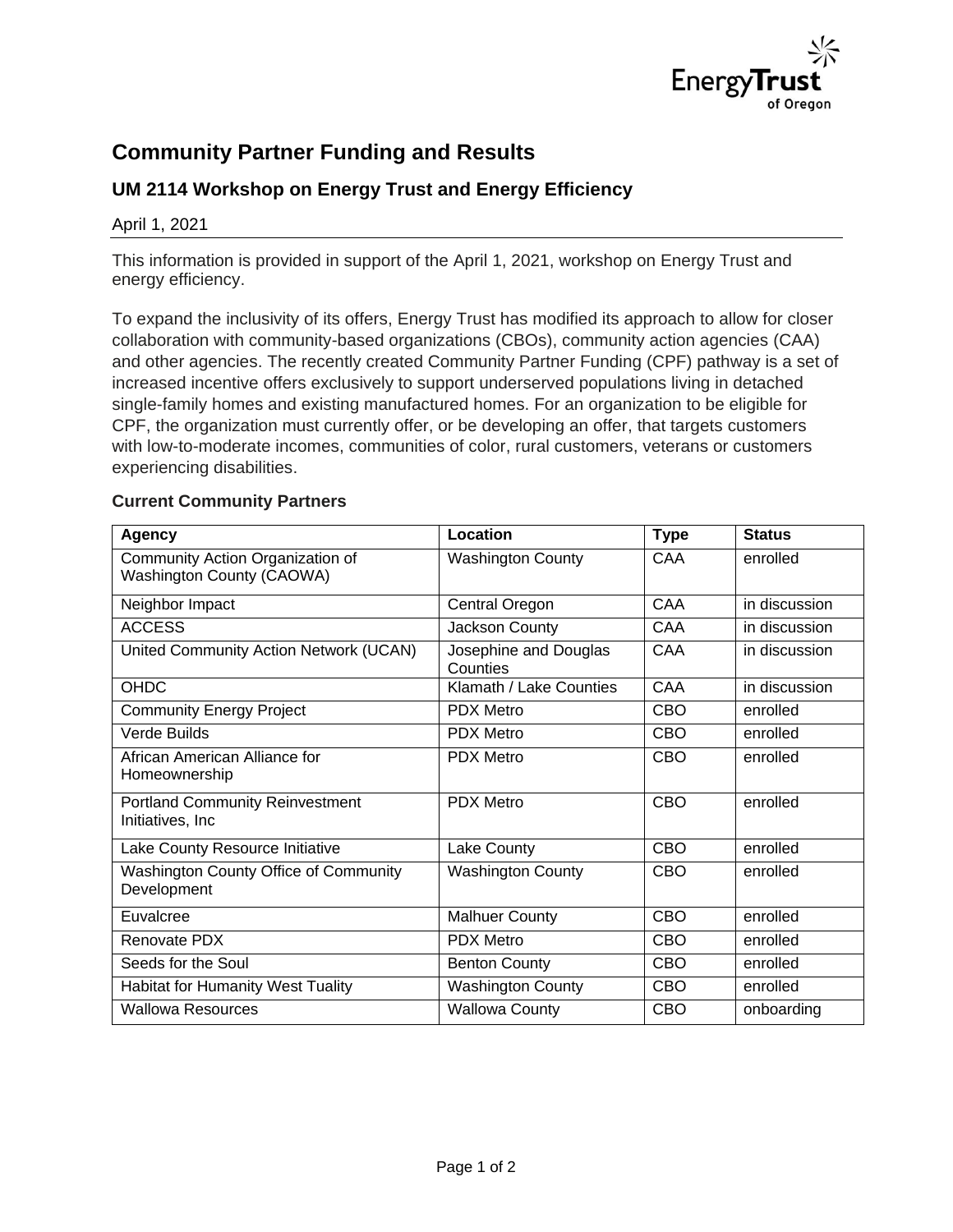

## **Community Partner Funding and Results**

## **UM 2114 Workshop on Energy Trust and Energy Efficiency**

April 1, 2021

This information is provided in support of the April 1, 2021, workshop on Energy Trust and energy efficiency.

To expand the inclusivity of its offers, Energy Trust has modified its approach to allow for closer collaboration with community-based organizations (CBOs), community action agencies (CAA) and other agencies. The recently created Community Partner Funding (CPF) pathway is a set of increased incentive offers exclusively to support underserved populations living in detached single-family homes and existing manufactured homes. For an organization to be eligible for CPF, the organization must currently offer, or be developing an offer, that targets customers with low-to-moderate incomes, communities of color, rural customers, veterans or customers experiencing disabilities.

## **Current Community Partners**

| Agency                                                        | Location                          | <b>Type</b> | <b>Status</b> |
|---------------------------------------------------------------|-----------------------------------|-------------|---------------|
| Community Action Organization of<br>Washington County (CAOWA) | <b>Washington County</b>          | CAA         | enrolled      |
| Neighbor Impact                                               | Central Oregon                    | CAA         | in discussion |
| <b>ACCESS</b>                                                 | Jackson County                    | CAA         | in discussion |
| United Community Action Network (UCAN)                        | Josephine and Douglas<br>Counties | CAA         | in discussion |
| OHDC                                                          | Klamath / Lake Counties           | CAA         | in discussion |
| <b>Community Energy Project</b>                               | <b>PDX Metro</b>                  | <b>CBO</b>  | enrolled      |
| Verde Builds                                                  | <b>PDX Metro</b>                  | <b>CBO</b>  | enrolled      |
| African American Alliance for<br>Homeownership                | <b>PDX Metro</b>                  | CBO         | enrolled      |
| <b>Portland Community Reinvestment</b><br>Initiatives, Inc.   | <b>PDX Metro</b>                  | CBO         | enrolled      |
| Lake County Resource Initiative                               | Lake County                       | <b>CBO</b>  | enrolled      |
| Washington County Office of Community<br>Development          | <b>Washington County</b>          | <b>CBO</b>  | enrolled      |
| Euvalcree                                                     | <b>Malhuer County</b>             | <b>CBO</b>  | enrolled      |
| Renovate PDX                                                  | <b>PDX Metro</b>                  | <b>CBO</b>  | enrolled      |
| Seeds for the Soul                                            | <b>Benton County</b>              | <b>CBO</b>  | enrolled      |
| Habitat for Humanity West Tuality                             | <b>Washington County</b>          | <b>CBO</b>  | enrolled      |
| <b>Wallowa Resources</b>                                      | <b>Wallowa County</b>             | CBO         | onboarding    |